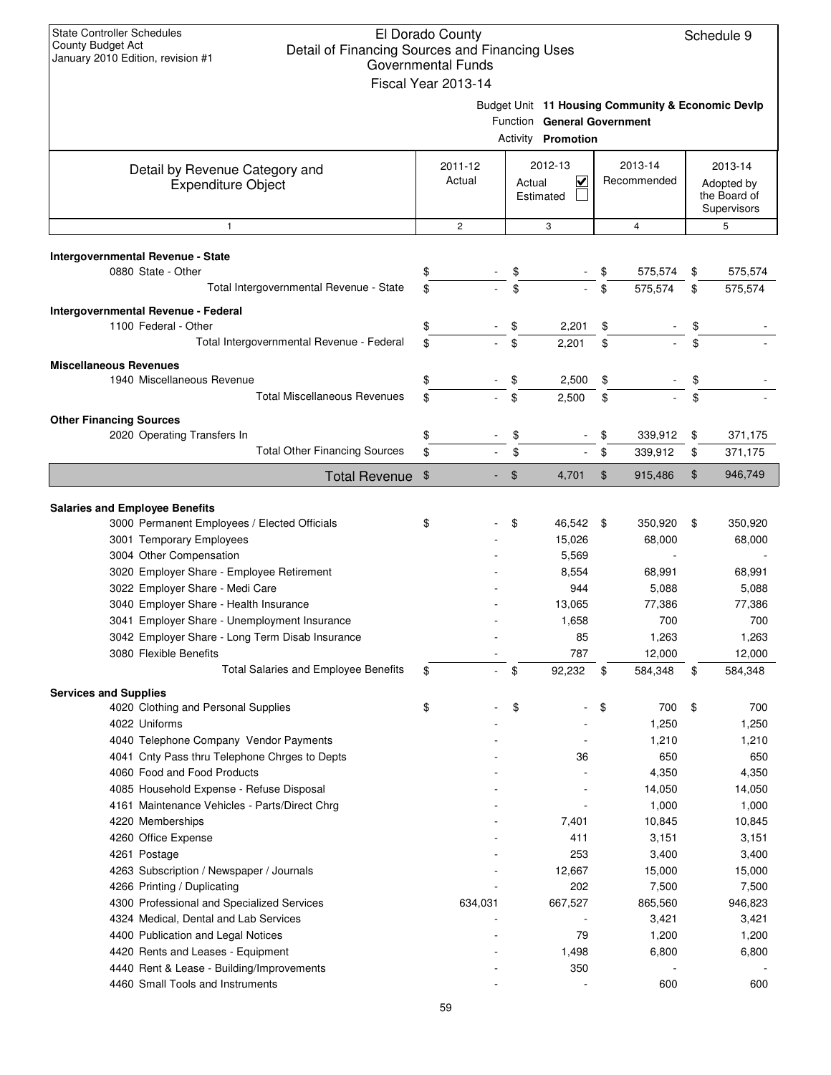| <b>State Controller Schedules</b><br>El Dorado County<br>Schedule 9<br><b>County Budget Act</b><br>Detail of Financing Sources and Financing Uses<br>January 2010 Edition, revision #1<br><b>Governmental Funds</b><br>Fiscal Year 2013-14 |                   |         |                     |                                                          |    |                                                   |    |                                                      |  |
|--------------------------------------------------------------------------------------------------------------------------------------------------------------------------------------------------------------------------------------------|-------------------|---------|---------------------|----------------------------------------------------------|----|---------------------------------------------------|----|------------------------------------------------------|--|
|                                                                                                                                                                                                                                            |                   |         |                     | Function General Government<br><b>Activity Promotion</b> |    | Budget Unit 11 Housing Community & Economic Devlp |    |                                                      |  |
| Detail by Revenue Category and<br><b>Expenditure Object</b>                                                                                                                                                                                | 2011-12<br>Actual |         | Actual<br>Estimated | 2012-13<br>V                                             |    | 2013-14<br>Recommended                            |    | 2013-14<br>Adopted by<br>the Board of<br>Supervisors |  |
| $\mathbf{1}$                                                                                                                                                                                                                               | $\overline{2}$    |         |                     | 3                                                        |    | $\overline{4}$                                    |    | 5                                                    |  |
| Intergovernmental Revenue - State                                                                                                                                                                                                          |                   |         |                     |                                                          |    |                                                   |    |                                                      |  |
| 0880 State - Other                                                                                                                                                                                                                         | \$                |         | \$                  |                                                          |    | 575,574                                           | \$ | 575,574                                              |  |
| Total Intergovernmental Revenue - State                                                                                                                                                                                                    | \$                |         | \$                  |                                                          | \$ | 575,574                                           | \$ | 575,574                                              |  |
| Intergovernmental Revenue - Federal                                                                                                                                                                                                        |                   |         |                     |                                                          |    |                                                   |    |                                                      |  |
| 1100 Federal - Other                                                                                                                                                                                                                       | \$                |         | \$                  | 2,201                                                    | \$ |                                                   | \$ |                                                      |  |
| Total Intergovernmental Revenue - Federal                                                                                                                                                                                                  | \$                |         | \$                  | 2,201                                                    | \$ |                                                   | \$ |                                                      |  |
|                                                                                                                                                                                                                                            |                   |         |                     |                                                          |    |                                                   |    |                                                      |  |
| <b>Miscellaneous Revenues</b><br>1940 Miscellaneous Revenue                                                                                                                                                                                | \$                |         | \$                  | 2,500                                                    | \$ |                                                   | \$ |                                                      |  |
| <b>Total Miscellaneous Revenues</b>                                                                                                                                                                                                        | \$                |         | \$                  | 2,500                                                    | \$ |                                                   | \$ |                                                      |  |
|                                                                                                                                                                                                                                            |                   |         |                     |                                                          |    |                                                   |    |                                                      |  |
| <b>Other Financing Sources</b><br>2020 Operating Transfers In                                                                                                                                                                              | \$                |         | \$                  |                                                          | \$ | 339,912                                           | \$ | 371,175                                              |  |
| <b>Total Other Financing Sources</b>                                                                                                                                                                                                       | \$                |         | \$                  |                                                          | \$ | 339,912                                           | \$ | 371,175                                              |  |
|                                                                                                                                                                                                                                            |                   |         |                     |                                                          |    |                                                   |    |                                                      |  |
| Total Revenue \$                                                                                                                                                                                                                           |                   |         | $\mathfrak{F}$      | 4,701                                                    | \$ | 915,486                                           | \$ | 946,749                                              |  |
| <b>Salaries and Employee Benefits</b>                                                                                                                                                                                                      |                   |         |                     |                                                          |    |                                                   |    |                                                      |  |
| 3000 Permanent Employees / Elected Officials                                                                                                                                                                                               | \$                |         | \$                  | 46,542 \$                                                |    | 350,920                                           | \$ | 350,920                                              |  |
| 3001 Temporary Employees                                                                                                                                                                                                                   |                   |         |                     | 15,026                                                   |    | 68,000                                            |    | 68,000                                               |  |
| 3004 Other Compensation                                                                                                                                                                                                                    |                   |         |                     | 5,569                                                    |    |                                                   |    |                                                      |  |
| 3020 Employer Share - Employee Retirement                                                                                                                                                                                                  |                   |         |                     | 8,554                                                    |    | 68,991                                            |    | 68,991                                               |  |
| 3022 Employer Share - Medi Care                                                                                                                                                                                                            |                   |         |                     | 944                                                      |    | 5,088                                             |    | 5,088                                                |  |
| 3040 Employer Share - Health Insurance                                                                                                                                                                                                     |                   |         |                     | 13,065                                                   |    | 77,386                                            |    | 77,386                                               |  |
| 3041 Employer Share - Unemployment Insurance                                                                                                                                                                                               |                   |         |                     | 1,658                                                    |    | 700                                               |    | 700                                                  |  |
| 3042 Employer Share - Long Term Disab Insurance                                                                                                                                                                                            |                   |         |                     | 85                                                       |    | 1,263                                             |    | 1,263                                                |  |
| 3080 Flexible Benefits                                                                                                                                                                                                                     |                   |         |                     | 787                                                      |    | 12,000                                            |    | 12,000                                               |  |
| <b>Total Salaries and Employee Benefits</b>                                                                                                                                                                                                | \$                |         | \$                  | 92,232                                                   | \$ | 584,348                                           | \$ | 584,348                                              |  |
| <b>Services and Supplies</b>                                                                                                                                                                                                               |                   |         |                     |                                                          |    |                                                   |    |                                                      |  |
| 4020 Clothing and Personal Supplies                                                                                                                                                                                                        | \$                |         | \$                  |                                                          | \$ | 700                                               | \$ | 700                                                  |  |
| 4022 Uniforms                                                                                                                                                                                                                              |                   |         |                     |                                                          |    | 1,250                                             |    | 1,250                                                |  |
| 4040 Telephone Company Vendor Payments                                                                                                                                                                                                     |                   |         |                     |                                                          |    | 1,210                                             |    | 1,210                                                |  |
| 4041 Cnty Pass thru Telephone Chrges to Depts                                                                                                                                                                                              |                   |         |                     | 36                                                       |    | 650                                               |    | 650                                                  |  |
| 4060 Food and Food Products                                                                                                                                                                                                                |                   |         |                     |                                                          |    | 4,350                                             |    | 4,350                                                |  |
| 4085 Household Expense - Refuse Disposal                                                                                                                                                                                                   |                   |         |                     |                                                          |    | 14,050                                            |    | 14,050                                               |  |
| 4161 Maintenance Vehicles - Parts/Direct Chrg                                                                                                                                                                                              |                   |         |                     |                                                          |    | 1,000                                             |    | 1,000                                                |  |
| 4220 Memberships                                                                                                                                                                                                                           |                   |         |                     | 7,401                                                    |    | 10,845                                            |    | 10,845                                               |  |
| 4260 Office Expense                                                                                                                                                                                                                        |                   |         |                     | 411                                                      |    | 3,151                                             |    | 3,151                                                |  |
| 4261 Postage                                                                                                                                                                                                                               |                   |         |                     | 253                                                      |    | 3,400                                             |    | 3,400                                                |  |
| 4263 Subscription / Newspaper / Journals                                                                                                                                                                                                   |                   |         |                     | 12,667<br>202                                            |    | 15,000                                            |    | 15,000                                               |  |
| 4266 Printing / Duplicating<br>4300 Professional and Specialized Services                                                                                                                                                                  |                   | 634,031 |                     | 667,527                                                  |    | 7,500<br>865,560                                  |    | 7,500<br>946,823                                     |  |
| 4324 Medical, Dental and Lab Services                                                                                                                                                                                                      |                   |         |                     |                                                          |    | 3,421                                             |    | 3,421                                                |  |
| 4400 Publication and Legal Notices                                                                                                                                                                                                         |                   |         |                     | 79                                                       |    | 1,200                                             |    | 1,200                                                |  |
| 4420 Rents and Leases - Equipment                                                                                                                                                                                                          |                   |         |                     | 1,498                                                    |    | 6,800                                             |    | 6,800                                                |  |
| 4440 Rent & Lease - Building/Improvements                                                                                                                                                                                                  |                   |         |                     | 350                                                      |    |                                                   |    |                                                      |  |
| 4460 Small Tools and Instruments                                                                                                                                                                                                           |                   |         |                     |                                                          |    | 600                                               |    | 600                                                  |  |
|                                                                                                                                                                                                                                            |                   |         |                     |                                                          |    |                                                   |    |                                                      |  |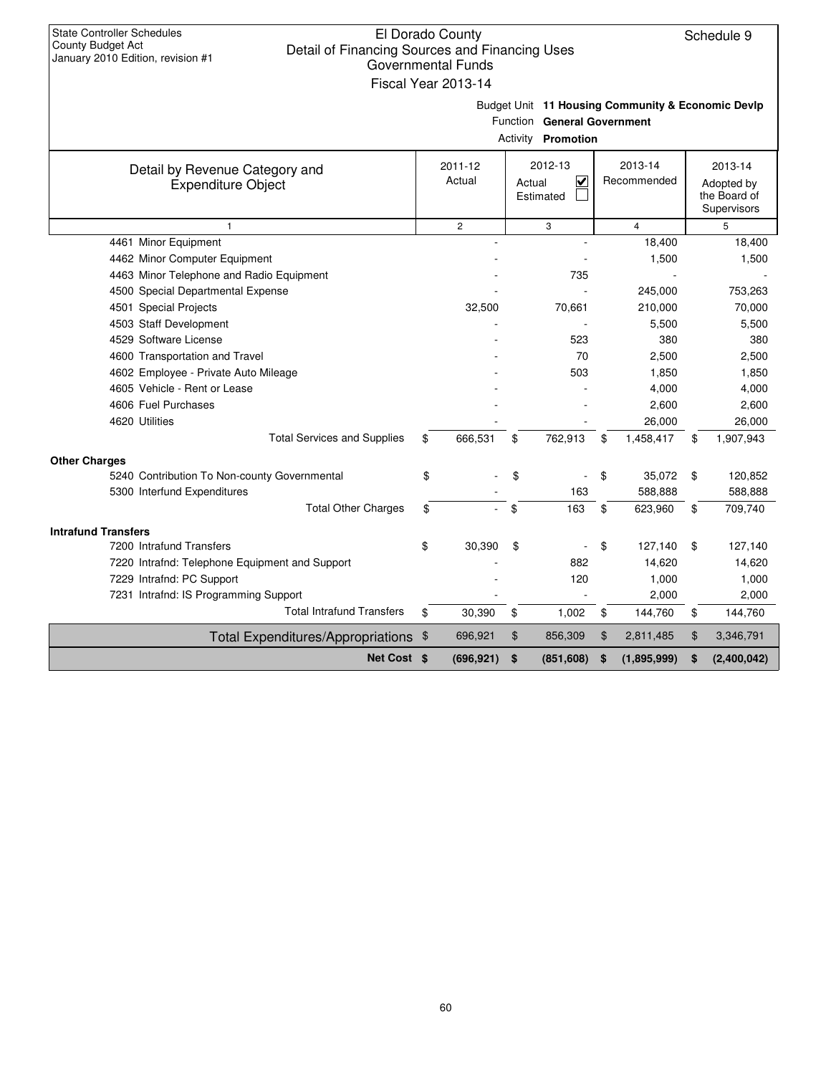| <b>State Controller Schedules</b><br>El Dorado County<br>County Budget Act<br>Detail of Financing Sources and Financing Uses<br>January 2010 Edition, revision #1<br><b>Governmental Funds</b> | Fiscal Year 2013-14 |                                                           |                                                   | Schedule 9                                           |
|------------------------------------------------------------------------------------------------------------------------------------------------------------------------------------------------|---------------------|-----------------------------------------------------------|---------------------------------------------------|------------------------------------------------------|
|                                                                                                                                                                                                |                     | Function General Government<br><b>Activity Promotion</b>  | Budget Unit 11 Housing Community & Economic Devlp |                                                      |
| Detail by Revenue Category and<br><b>Expenditure Object</b>                                                                                                                                    | 2011-12<br>Actual   | 2012-13<br>$\overline{\mathbf{v}}$<br>Actual<br>Estimated | 2013-14<br>Recommended                            | 2013-14<br>Adopted by<br>the Board of<br>Supervisors |
| $\mathbf{1}$                                                                                                                                                                                   | $\overline{2}$      | 3                                                         | $\overline{4}$                                    | 5                                                    |
| 4461 Minor Equipment                                                                                                                                                                           |                     |                                                           | 18,400                                            | 18,400                                               |
| 4462 Minor Computer Equipment                                                                                                                                                                  |                     |                                                           | 1,500                                             | 1,500                                                |
| 4463 Minor Telephone and Radio Equipment                                                                                                                                                       |                     | 735                                                       |                                                   |                                                      |
| 4500 Special Departmental Expense                                                                                                                                                              |                     |                                                           | 245,000                                           | 753,263                                              |
| 4501 Special Projects                                                                                                                                                                          | 32,500              | 70,661                                                    | 210,000                                           | 70,000                                               |
| 4503 Staff Development                                                                                                                                                                         |                     |                                                           | 5,500                                             | 5,500                                                |
| 4529 Software License                                                                                                                                                                          |                     | 523                                                       | 380                                               | 380                                                  |
| 4600 Transportation and Travel                                                                                                                                                                 |                     | 70                                                        | 2,500                                             | 2,500                                                |
| 4602 Employee - Private Auto Mileage                                                                                                                                                           |                     | 503                                                       | 1,850                                             | 1,850                                                |
| 4605 Vehicle - Rent or Lease                                                                                                                                                                   |                     |                                                           | 4,000                                             | 4,000                                                |
| 4606 Fuel Purchases                                                                                                                                                                            |                     |                                                           | 2,600                                             | 2,600                                                |
| 4620 Utilities                                                                                                                                                                                 |                     |                                                           | 26,000                                            | 26,000                                               |
| <b>Total Services and Supplies</b>                                                                                                                                                             | \$<br>666,531       | \$<br>762,913                                             | \$<br>1,458,417                                   | \$<br>1,907,943                                      |
| <b>Other Charges</b>                                                                                                                                                                           |                     |                                                           |                                                   |                                                      |
| 5240 Contribution To Non-county Governmental                                                                                                                                                   | \$                  | \$                                                        | \$<br>35,072                                      | \$<br>120,852                                        |
| 5300 Interfund Expenditures                                                                                                                                                                    |                     | 163                                                       | 588,888                                           | 588,888                                              |
| <b>Total Other Charges</b>                                                                                                                                                                     | \$                  | \$<br>163                                                 | \$<br>623,960                                     | \$<br>709,740                                        |
|                                                                                                                                                                                                |                     |                                                           |                                                   |                                                      |
| <b>Intrafund Transfers</b><br>7200 Intrafund Transfers                                                                                                                                         | \$                  | \$                                                        | \$<br>127,140                                     | \$                                                   |
|                                                                                                                                                                                                | 30,390              | 882                                                       | 14,620                                            | 127,140                                              |
| 7220 Intrafnd: Telephone Equipment and Support<br>7229 Intrafnd: PC Support                                                                                                                    |                     | 120                                                       | 1,000                                             | 14,620<br>1,000                                      |
| 7231 Intrafnd: IS Programming Support                                                                                                                                                          |                     |                                                           | 2,000                                             | 2,000                                                |
| <b>Total Intrafund Transfers</b>                                                                                                                                                               | \$<br>30,390        | \$<br>1,002                                               | 144,760                                           | 144,760                                              |
|                                                                                                                                                                                                |                     |                                                           | \$                                                | \$                                                   |
| Total Expenditures/Appropriations \$                                                                                                                                                           | 696,921             | \$<br>856,309                                             | \$<br>2,811,485                                   | \$<br>3,346,791                                      |
| Net Cost \$                                                                                                                                                                                    | (696, 921)          | \$<br>(851, 608)                                          | \$<br>(1,895,999)                                 | \$<br>(2,400,042)                                    |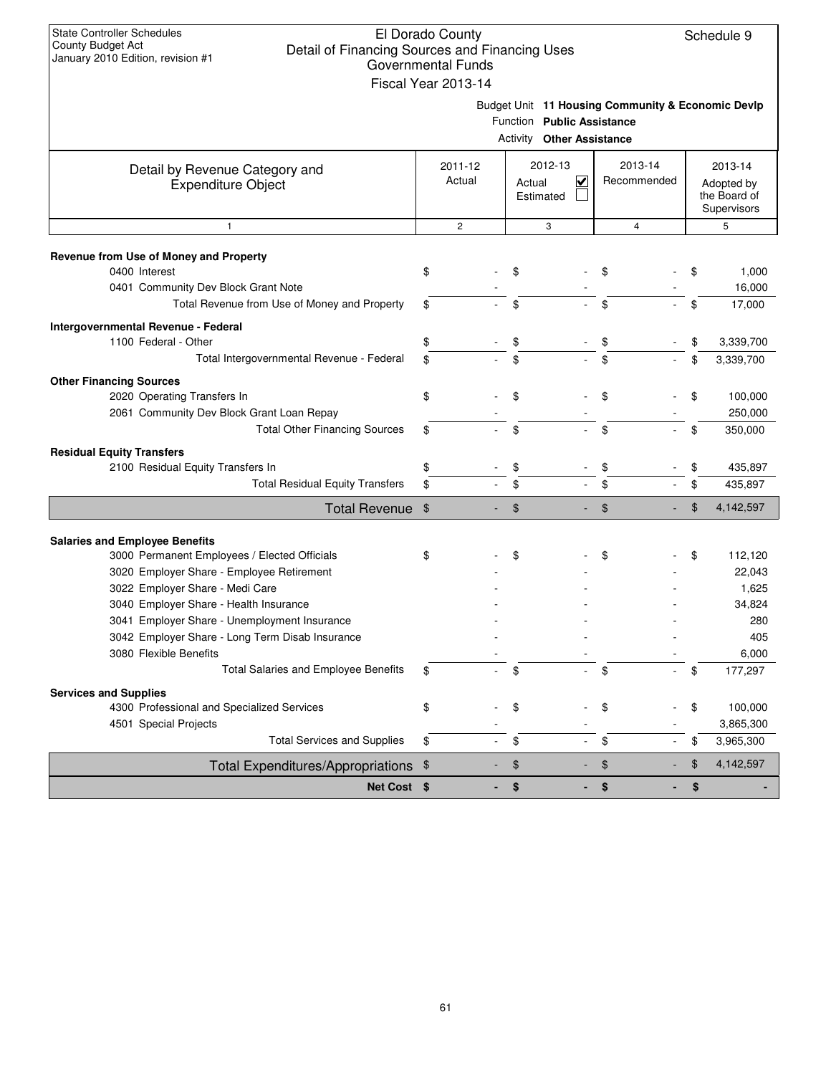| <b>State Controller Schedules</b>                                                                        | El Dorado County          |                                                                |                        | Schedule 9                 |
|----------------------------------------------------------------------------------------------------------|---------------------------|----------------------------------------------------------------|------------------------|----------------------------|
| County Budget Act<br>Detail of Financing Sources and Financing Uses<br>January 2010 Edition, revision #1 |                           |                                                                |                        |                            |
|                                                                                                          | <b>Governmental Funds</b> |                                                                |                        |                            |
|                                                                                                          | Fiscal Year 2013-14       |                                                                |                        |                            |
|                                                                                                          |                           | Budget Unit 11 Housing Community & Economic Devlp              |                        |                            |
|                                                                                                          |                           | Function Public Assistance<br><b>Activity Other Assistance</b> |                        |                            |
|                                                                                                          |                           |                                                                |                        |                            |
| Detail by Revenue Category and                                                                           | 2011-12<br>Actual         | 2012-13<br>✔                                                   | 2013-14<br>Recommended | 2013-14                    |
| <b>Expenditure Object</b>                                                                                |                           | Actual<br>Estimated                                            |                        | Adopted by<br>the Board of |
|                                                                                                          |                           |                                                                |                        | Supervisors                |
| $\mathbf{1}$                                                                                             | $\mathbf{2}$              | 3                                                              | $\overline{4}$         | 5                          |
| Revenue from Use of Money and Property                                                                   |                           |                                                                |                        |                            |
| 0400 Interest                                                                                            | \$                        | \$                                                             | \$                     | \$<br>1,000                |
| 0401 Community Dev Block Grant Note                                                                      |                           |                                                                |                        | 16,000                     |
| Total Revenue from Use of Money and Property                                                             | \$                        | \$                                                             | \$                     | \$<br>17,000               |
| Intergovernmental Revenue - Federal                                                                      |                           |                                                                |                        |                            |
| 1100 Federal - Other                                                                                     | \$                        | \$                                                             | \$                     | 3,339,700<br>\$            |
| Total Intergovernmental Revenue - Federal                                                                | \$                        | \$                                                             | \$                     | \$<br>3,339,700            |
| <b>Other Financing Sources</b>                                                                           |                           |                                                                |                        |                            |
| 2020 Operating Transfers In                                                                              | \$                        | \$                                                             | \$                     | \$<br>100,000              |
| 2061 Community Dev Block Grant Loan Repay<br><b>Total Other Financing Sources</b>                        | \$                        | \$<br>÷.                                                       | \$                     | 250,000<br>\$<br>350,000   |
|                                                                                                          |                           |                                                                |                        |                            |
| <b>Residual Equity Transfers</b><br>2100 Residual Equity Transfers In                                    | \$                        | \$                                                             | \$                     | 435,897<br>\$              |
| <b>Total Residual Equity Transfers</b>                                                                   | \$                        | \$                                                             | \$                     | \$<br>435,897              |
| <b>Total Revenue</b>                                                                                     | \$                        | \$                                                             | \$                     | \$<br>4,142,597            |
|                                                                                                          |                           |                                                                |                        |                            |
| <b>Salaries and Employee Benefits</b><br>3000 Permanent Employees / Elected Officials                    |                           | \$                                                             |                        | \$<br>112,120              |
| 3020 Employer Share - Employee Retirement                                                                | \$                        |                                                                | \$                     | 22,043                     |
| 3022 Employer Share - Medi Care                                                                          |                           |                                                                |                        | 1,625                      |
| 3040 Employer Share - Health Insurance                                                                   |                           |                                                                |                        | 34,824                     |
| 3041 Employer Share - Unemployment Insurance                                                             |                           |                                                                |                        | 280                        |
| 3042 Employer Share - Long Term Disab Insurance                                                          |                           |                                                                |                        | 405                        |
| 3080 Flexible Benefits                                                                                   |                           |                                                                |                        | 6,000                      |
| Total Salaries and Employee Benefits                                                                     | \$                        | \$                                                             | \$                     | 177,297<br>\$              |
| <b>Services and Supplies</b>                                                                             |                           |                                                                |                        |                            |
| 4300 Professional and Specialized Services<br>4501 Special Projects                                      | \$                        | \$                                                             | \$                     | 100,000<br>\$<br>3,865,300 |
| <b>Total Services and Supplies</b>                                                                       | \$                        | \$                                                             | \$                     | 3,965,300<br>\$            |
|                                                                                                          |                           |                                                                | \$                     | \$<br>4,142,597            |
| Total Expenditures/Appropriations \$                                                                     |                           | \$                                                             |                        |                            |
| Net Cost \$                                                                                              |                           | \$                                                             | \$                     | \$                         |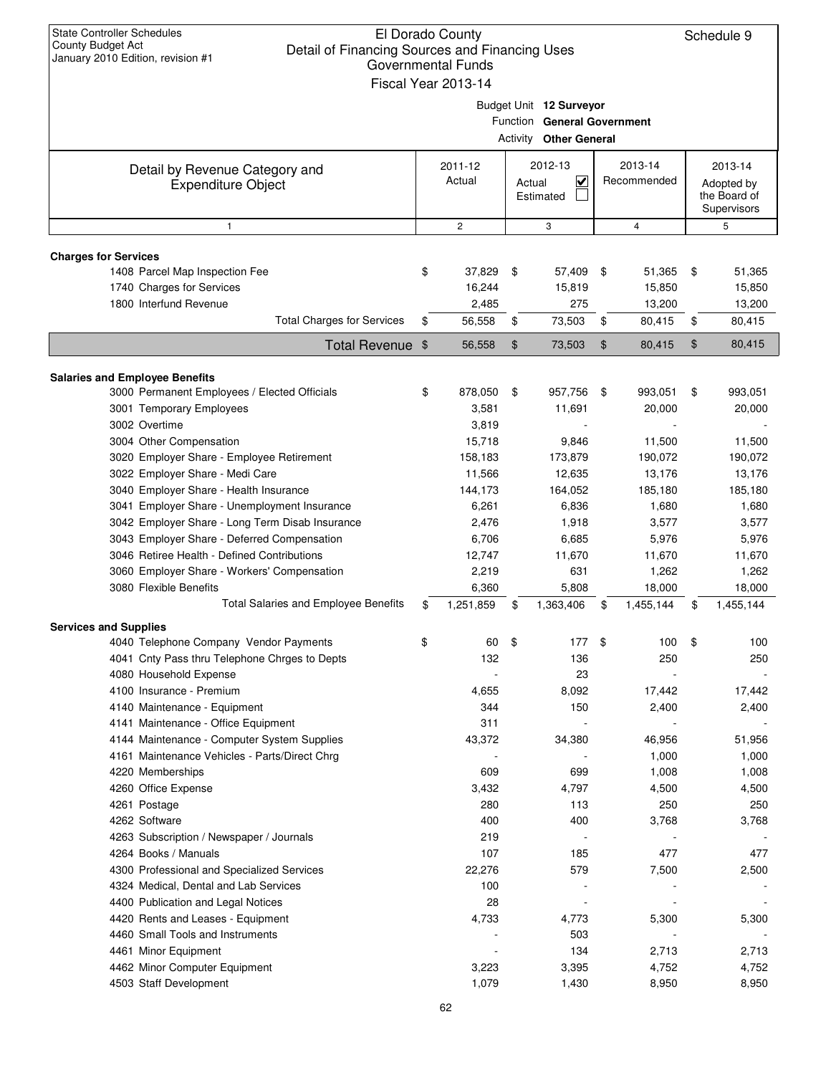| <b>State Controller Schedules</b><br><b>County Budget Act</b><br>Detail of Financing Sources and Financing Uses<br>January 2010 Edition, revision #1 | El Dorado County<br><b>Governmental Funds</b><br>Fiscal Year 2013-14 |          |                                                                                |                |                        | Schedule 9                                           |
|------------------------------------------------------------------------------------------------------------------------------------------------------|----------------------------------------------------------------------|----------|--------------------------------------------------------------------------------|----------------|------------------------|------------------------------------------------------|
|                                                                                                                                                      |                                                                      | Activity | Budget Unit 12 Surveyor<br>Function General Government<br><b>Other General</b> |                |                        |                                                      |
| Detail by Revenue Category and<br><b>Expenditure Object</b>                                                                                          | 2011-12<br>Actual                                                    | Actual   | 2012-13<br>⊻<br>Estimated                                                      |                | 2013-14<br>Recommended | 2013-14<br>Adopted by<br>the Board of<br>Supervisors |
| $\mathbf{1}$                                                                                                                                         | $\overline{c}$                                                       |          | 3                                                                              |                | $\overline{4}$         | 5                                                    |
| <b>Charges for Services</b>                                                                                                                          |                                                                      |          |                                                                                |                |                        |                                                      |
| 1408 Parcel Map Inspection Fee                                                                                                                       | \$<br>37,829                                                         | \$       | 57,409                                                                         | \$             | 51,365                 | \$<br>51,365                                         |
| 1740 Charges for Services                                                                                                                            | 16,244                                                               |          | 15,819                                                                         |                | 15,850                 | 15,850                                               |
| 1800 Interfund Revenue                                                                                                                               | 2,485                                                                |          | 275                                                                            |                | 13,200                 | 13,200                                               |
| <b>Total Charges for Services</b>                                                                                                                    | \$<br>56,558                                                         | \$       | 73,503                                                                         | \$             | 80,415                 | \$<br>80,415                                         |
| Total Revenue \$                                                                                                                                     | 56,558                                                               | $\$\$    | 73,503                                                                         | $\mathfrak{F}$ | 80,415                 | \$<br>80,415                                         |
|                                                                                                                                                      |                                                                      |          |                                                                                |                |                        |                                                      |
| <b>Salaries and Employee Benefits</b><br>3000 Permanent Employees / Elected Officials                                                                | \$<br>878,050                                                        | \$       | 957,756                                                                        | -\$            | 993,051                | \$<br>993,051                                        |
| 3001 Temporary Employees                                                                                                                             | 3,581                                                                |          | 11,691                                                                         |                | 20,000                 | 20,000                                               |
| 3002 Overtime                                                                                                                                        | 3,819                                                                |          |                                                                                |                |                        |                                                      |
| 3004 Other Compensation                                                                                                                              | 15,718                                                               |          | 9,846                                                                          |                | 11,500                 | 11,500                                               |
| 3020 Employer Share - Employee Retirement                                                                                                            | 158,183                                                              |          | 173,879                                                                        |                | 190,072                | 190,072                                              |
| 3022 Employer Share - Medi Care                                                                                                                      | 11,566                                                               |          | 12,635                                                                         |                | 13,176                 | 13,176                                               |
| 3040 Employer Share - Health Insurance                                                                                                               | 144,173                                                              |          | 164,052                                                                        |                | 185,180                | 185,180                                              |
| 3041 Employer Share - Unemployment Insurance                                                                                                         | 6,261                                                                |          | 6,836                                                                          |                | 1,680                  | 1,680                                                |
| 3042 Employer Share - Long Term Disab Insurance                                                                                                      | 2,476                                                                |          | 1,918                                                                          |                | 3,577                  | 3,577                                                |
| 3043 Employer Share - Deferred Compensation                                                                                                          | 6,706                                                                |          | 6,685                                                                          |                | 5,976                  | 5,976                                                |
| 3046 Retiree Health - Defined Contributions                                                                                                          | 12,747                                                               |          | 11,670                                                                         |                | 11,670                 | 11,670                                               |
| 3060 Employer Share - Workers' Compensation                                                                                                          | 2,219                                                                |          | 631                                                                            |                | 1,262                  | 1,262                                                |
| 3080 Flexible Benefits                                                                                                                               | 6,360                                                                |          | 5,808                                                                          |                | 18,000                 | 18,000                                               |
| Total Salaries and Employee Benefits                                                                                                                 | \$<br>1,251,859                                                      | \$       | 1,363,406                                                                      | \$             | 1,455,144              | \$<br>1,455,144                                      |
| <b>Services and Supplies</b>                                                                                                                         |                                                                      |          |                                                                                |                |                        |                                                      |
| 4040 Telephone Company Vendor Payments                                                                                                               | \$<br>60                                                             | \$       | 177                                                                            | \$             | 100                    | \$<br>100                                            |
| 4041 Cnty Pass thru Telephone Chrges to Depts                                                                                                        | 132                                                                  |          | 136                                                                            |                | 250                    | 250                                                  |
| 4080 Household Expense<br>4100 Insurance - Premium                                                                                                   |                                                                      |          | 23                                                                             |                | 17,442                 |                                                      |
| 4140 Maintenance - Equipment                                                                                                                         | 4,655<br>344                                                         |          | 8,092<br>150                                                                   |                | 2,400                  | 17,442<br>2,400                                      |
| 4141 Maintenance - Office Equipment                                                                                                                  | 311                                                                  |          |                                                                                |                |                        |                                                      |
| 4144 Maintenance - Computer System Supplies                                                                                                          | 43,372                                                               |          | 34,380                                                                         |                | 46,956                 | 51,956                                               |
| 4161 Maintenance Vehicles - Parts/Direct Chrg                                                                                                        |                                                                      |          |                                                                                |                | 1,000                  | 1,000                                                |
| 4220 Memberships                                                                                                                                     | 609                                                                  |          | 699                                                                            |                | 1,008                  | 1,008                                                |
| 4260 Office Expense                                                                                                                                  | 3,432                                                                |          | 4,797                                                                          |                | 4,500                  | 4,500                                                |
| 4261 Postage                                                                                                                                         | 280                                                                  |          | 113                                                                            |                | 250                    | 250                                                  |
| 4262 Software                                                                                                                                        | 400                                                                  |          | 400                                                                            |                | 3,768                  | 3,768                                                |
| 4263 Subscription / Newspaper / Journals                                                                                                             | 219                                                                  |          |                                                                                |                |                        |                                                      |
| 4264 Books / Manuals                                                                                                                                 | 107                                                                  |          | 185                                                                            |                | 477                    | 477                                                  |
| 4300 Professional and Specialized Services                                                                                                           | 22,276                                                               |          | 579                                                                            |                | 7,500                  | 2,500                                                |
| 4324 Medical, Dental and Lab Services                                                                                                                | 100                                                                  |          |                                                                                |                |                        |                                                      |
| 4400 Publication and Legal Notices                                                                                                                   | 28                                                                   |          |                                                                                |                |                        |                                                      |
| 4420 Rents and Leases - Equipment                                                                                                                    | 4,733                                                                |          | 4,773                                                                          |                | 5,300                  | 5,300                                                |
| 4460 Small Tools and Instruments                                                                                                                     |                                                                      |          | 503                                                                            |                |                        |                                                      |
| 4461 Minor Equipment                                                                                                                                 |                                                                      |          | 134                                                                            |                | 2,713                  | 2,713                                                |
| 4462 Minor Computer Equipment<br>4503 Staff Development                                                                                              | 3,223<br>1,079                                                       |          | 3,395<br>1,430                                                                 |                | 4,752<br>8,950         | 4,752                                                |
|                                                                                                                                                      |                                                                      |          |                                                                                |                |                        | 8,950                                                |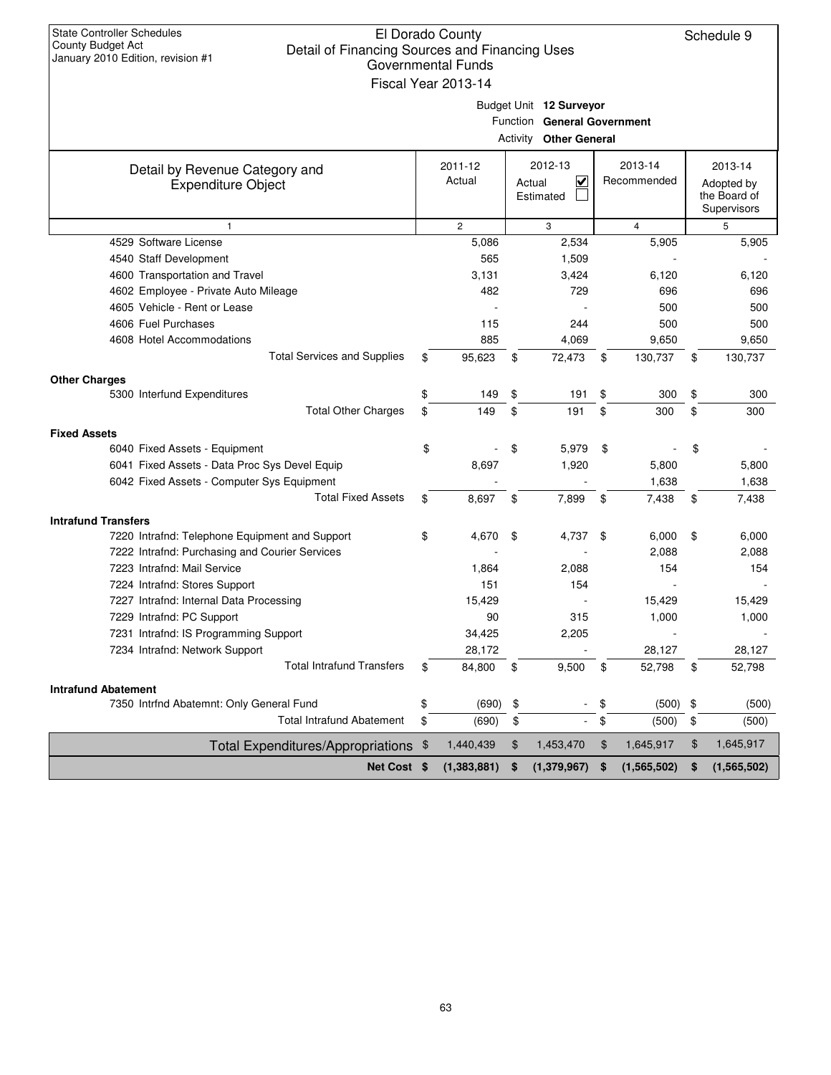| <b>State Controller Schedules</b><br><b>County Budget Act</b><br>January 2010 Edition, revision #1 | El Dorado County<br>Detail of Financing Sources and Financing Uses<br><b>Governmental Funds</b> |    |                               |     |                |    |                             |  |  |
|----------------------------------------------------------------------------------------------------|-------------------------------------------------------------------------------------------------|----|-------------------------------|-----|----------------|----|-----------------------------|--|--|
|                                                                                                    | Fiscal Year 2013-14                                                                             |    |                               |     |                |    |                             |  |  |
|                                                                                                    |                                                                                                 |    |                               |     |                |    |                             |  |  |
|                                                                                                    |                                                                                                 |    | Budget Unit 12 Surveyor       |     |                |    |                             |  |  |
|                                                                                                    |                                                                                                 |    | Function General Government   |     |                |    |                             |  |  |
|                                                                                                    |                                                                                                 |    | <b>Activity Other General</b> |     |                |    |                             |  |  |
| Detail by Revenue Category and                                                                     | 2011-12                                                                                         |    | 2012-13                       |     | 2013-14        |    | 2013-14                     |  |  |
| <b>Expenditure Object</b>                                                                          | Actual                                                                                          |    | V<br>Actual                   |     | Recommended    |    | Adopted by                  |  |  |
|                                                                                                    |                                                                                                 |    | Estimated                     |     |                |    | the Board of<br>Supervisors |  |  |
| $\mathbf{1}$                                                                                       | $\overline{c}$                                                                                  |    | 3                             |     | $\overline{4}$ |    | 5                           |  |  |
| 4529 Software License                                                                              | 5,086                                                                                           |    | 2,534                         |     | 5,905          |    | 5,905                       |  |  |
| 4540 Staff Development                                                                             | 565                                                                                             |    | 1,509                         |     |                |    |                             |  |  |
| 4600 Transportation and Travel                                                                     | 3,131                                                                                           |    | 3,424                         |     | 6,120          |    | 6,120                       |  |  |
| 4602 Employee - Private Auto Mileage                                                               | 482                                                                                             |    | 729                           |     | 696            |    | 696                         |  |  |
| 4605 Vehicle - Rent or Lease                                                                       |                                                                                                 |    |                               |     | 500            |    | 500                         |  |  |
| 4606 Fuel Purchases                                                                                | 115                                                                                             |    | 244                           |     | 500            |    | 500                         |  |  |
| 4608 Hotel Accommodations                                                                          | 885                                                                                             |    | 4,069                         |     | 9,650          |    | 9,650                       |  |  |
| <b>Total Services and Supplies</b>                                                                 | \$<br>95,623                                                                                    | \$ | 72,473                        | \$  | 130,737        | \$ | 130,737                     |  |  |
| <b>Other Charges</b>                                                                               |                                                                                                 |    |                               |     |                |    |                             |  |  |
| 5300 Interfund Expenditures                                                                        | \$<br>149                                                                                       | \$ | 191                           | \$  | 300            | \$ | 300                         |  |  |
| <b>Total Other Charges</b>                                                                         | \$<br>149                                                                                       | \$ | 191                           | \$  | 300            | \$ | 300                         |  |  |
| <b>Fixed Assets</b>                                                                                |                                                                                                 |    |                               |     |                |    |                             |  |  |
| 6040 Fixed Assets - Equipment                                                                      | \$                                                                                              | \$ | 5,979                         | \$  |                | \$ |                             |  |  |
| 6041 Fixed Assets - Data Proc Sys Devel Equip                                                      | 8,697                                                                                           |    | 1,920                         |     | 5,800          |    | 5,800                       |  |  |
| 6042 Fixed Assets - Computer Sys Equipment                                                         |                                                                                                 |    |                               |     | 1,638          |    | 1,638                       |  |  |
| <b>Total Fixed Assets</b>                                                                          | \$<br>8,697                                                                                     | \$ | 7,899                         | \$  | 7,438          | \$ | 7,438                       |  |  |
| <b>Intrafund Transfers</b>                                                                         |                                                                                                 |    |                               |     |                |    |                             |  |  |
| 7220 Intrafnd: Telephone Equipment and Support                                                     | \$<br>4,670                                                                                     | \$ | 4,737                         | -\$ | 6,000          | \$ | 6,000                       |  |  |
| 7222 Intrafnd: Purchasing and Courier Services                                                     |                                                                                                 |    |                               |     | 2,088          |    | 2,088                       |  |  |
| 7223 Intrafnd: Mail Service                                                                        | 1,864                                                                                           |    | 2,088                         |     | 154            |    | 154                         |  |  |
| 7224 Intrafnd: Stores Support                                                                      | 151                                                                                             |    | 154                           |     |                |    |                             |  |  |
| 7227 Intrafnd: Internal Data Processing                                                            | 15,429                                                                                          |    |                               |     | 15,429         |    | 15,429                      |  |  |
| 7229 Intrafnd: PC Support                                                                          | 90                                                                                              |    | 315                           |     | 1,000          |    | 1,000                       |  |  |
| 7231 Intrafnd: IS Programming Support                                                              | 34,425                                                                                          |    | 2,205                         |     |                |    |                             |  |  |
| 7234 Intrafnd: Network Support                                                                     | 28,172                                                                                          |    |                               |     | 28,127         |    | 28,127                      |  |  |
| <b>Total Intrafund Transfers</b>                                                                   | \$<br>84,800                                                                                    | \$ | 9,500                         | \$  | 52,798         | \$ | 52,798                      |  |  |
| <b>Intrafund Abatement</b>                                                                         |                                                                                                 |    |                               |     |                |    |                             |  |  |
| 7350 Intrfnd Abatemnt: Only General Fund                                                           | \$<br>(690)                                                                                     | \$ | $\overline{\phantom{a}}$      | \$  | (500)          | \$ | (500)                       |  |  |
| <b>Total Intrafund Abatement</b>                                                                   | \$<br>(690)                                                                                     | \$ | $\overline{\phantom{a}}$      | \$  | (500)          | \$ | (500)                       |  |  |
| Total Expenditures/Appropriations \$                                                               | 1,440,439                                                                                       | \$ | 1,453,470                     | \$  | 1,645,917      | \$ | 1,645,917                   |  |  |
| Net Cost \$                                                                                        | (1,383,881)                                                                                     | \$ | (1,379,967)                   | \$  | (1,565,502)    | \$ | (1,565,502)                 |  |  |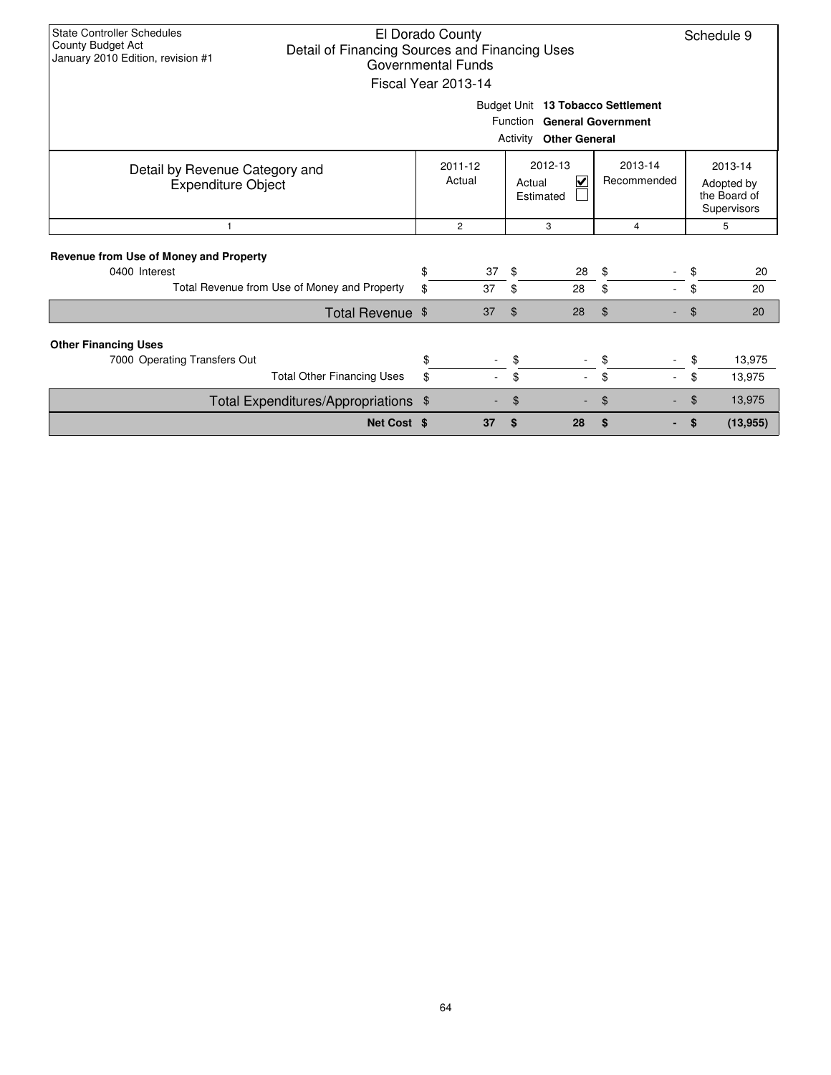| State Controller Schedules<br><b>County Budget Act</b><br>Detail of Financing Sources and Financing Uses<br>January 2010 Edition, revision #1 |          | El Dorado County<br><b>Governmental Funds</b><br>Fiscal Year 2013-14 | Budget Unit 13 Tobacco Settlement<br>Function General Government<br>Activity Other General |                         |                        |          | Schedule 9                                           |
|-----------------------------------------------------------------------------------------------------------------------------------------------|----------|----------------------------------------------------------------------|--------------------------------------------------------------------------------------------|-------------------------|------------------------|----------|------------------------------------------------------|
| Detail by Revenue Category and<br><b>Expenditure Object</b>                                                                                   |          | 2011-12<br>Actual                                                    | 2012-13<br>Actual<br>Estimated                                                             | $\overline{\mathsf{v}}$ | 2013-14<br>Recommended |          | 2013-14<br>Adopted by<br>the Board of<br>Supervisors |
| -1                                                                                                                                            |          | $\overline{c}$                                                       | 3<br>4                                                                                     |                         |                        | 5        |                                                      |
| Revenue from Use of Money and Property<br>0400 Interest<br>Total Revenue from Use of Money and Property                                       | \$<br>\$ | 37<br>37                                                             | - \$<br>\$<br>28                                                                           | 28                      | \$<br>\$               | \$<br>\$ | 20<br>20                                             |
| Total Revenue \$                                                                                                                              |          | 37                                                                   | $\mathfrak{L}$<br>28                                                                       |                         | \$                     | \$       | 20                                                   |
| <b>Other Financing Uses</b><br>7000 Operating Transfers Out<br><b>Total Other Financing Uses</b>                                              | \$<br>\$ |                                                                      | \$<br>\$                                                                                   | $\overline{a}$          | \$<br>\$               | \$<br>\$ | 13,975<br>13,975                                     |
| Total Expenditures/Appropriations \$                                                                                                          |          |                                                                      | \$                                                                                         |                         | \$                     | \$       | 13,975                                               |
| Net Cost \$                                                                                                                                   |          | 37                                                                   | \$<br>28                                                                                   |                         | \$                     | \$       | (13, 955)                                            |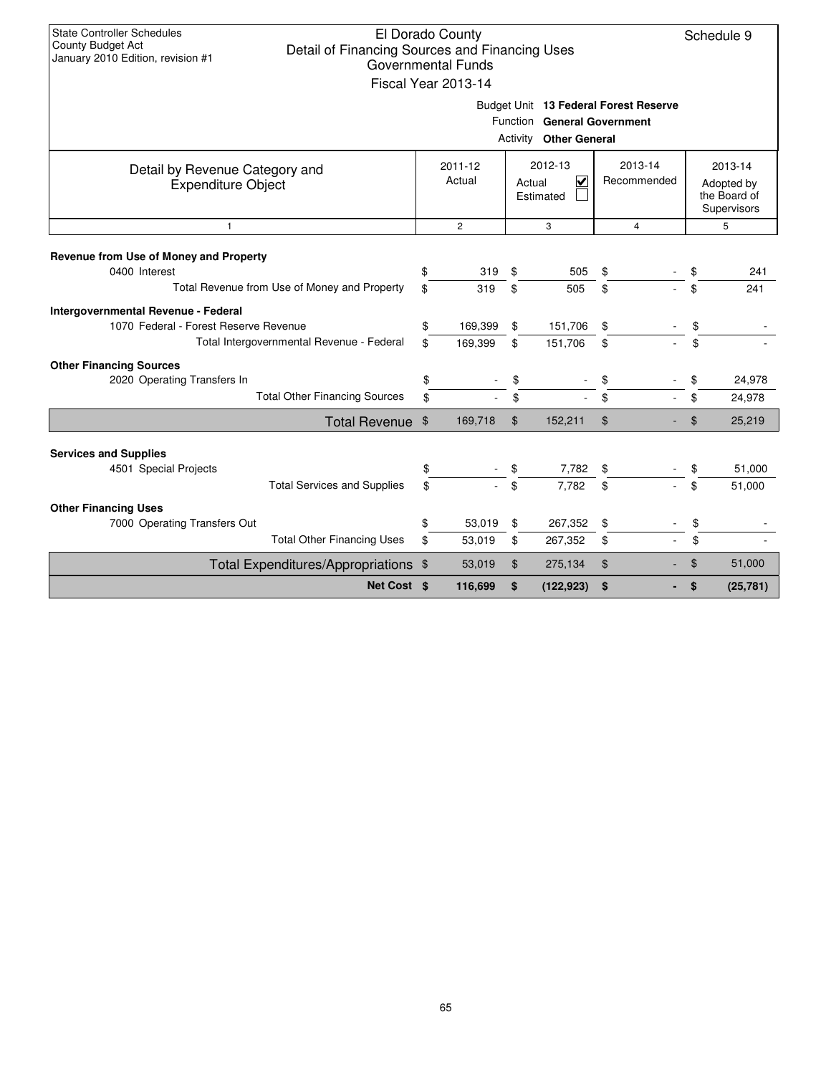| <b>State Controller Schedules</b><br>County Budget Act<br>January 2010 Edition, revision #1                                                                             | Detail of Financing Sources and Financing Uses |    | El Dorado County<br>Governmental Funds<br>Fiscal Year 2013-14 |                | Budget Unit 13 Federal Forest Reserve                        |     |                |                                                      | Schedule 9 |  |
|-------------------------------------------------------------------------------------------------------------------------------------------------------------------------|------------------------------------------------|----|---------------------------------------------------------------|----------------|--------------------------------------------------------------|-----|----------------|------------------------------------------------------|------------|--|
|                                                                                                                                                                         |                                                |    |                                                               |                | Function General Government<br><b>Activity Other General</b> |     |                |                                                      |            |  |
| 2012-13<br>2013-14<br>2011-12<br>Detail by Revenue Category and<br>Actual<br>$\overline{\mathbf{v}}$<br>Recommended<br>Actual<br><b>Expenditure Object</b><br>Estimated |                                                |    |                                                               |                |                                                              |     |                | 2013-14<br>Adopted by<br>the Board of<br>Supervisors |            |  |
| $\mathbf{1}$                                                                                                                                                            |                                                |    | $\overline{c}$                                                |                | 3                                                            |     | $\overline{4}$ |                                                      | 5          |  |
| Revenue from Use of Money and Property                                                                                                                                  |                                                |    |                                                               |                |                                                              |     |                |                                                      |            |  |
| 0400 Interest                                                                                                                                                           |                                                | \$ | 319                                                           | \$             | 505                                                          | \$  |                | \$                                                   | 241        |  |
|                                                                                                                                                                         | Total Revenue from Use of Money and Property   | \$ | 319                                                           | \$             | 505                                                          | \$. |                | \$                                                   | 241        |  |
| Intergovernmental Revenue - Federal                                                                                                                                     |                                                |    |                                                               |                |                                                              |     |                |                                                      |            |  |
| 1070 Federal - Forest Reserve Revenue                                                                                                                                   |                                                | \$ | 169,399                                                       | \$             | 151,706                                                      | \$  |                | \$                                                   |            |  |
|                                                                                                                                                                         | Total Intergovernmental Revenue - Federal      | \$ | 169,399                                                       | \$             | 151,706                                                      | \$  |                | \$                                                   |            |  |
| <b>Other Financing Sources</b>                                                                                                                                          |                                                |    |                                                               |                |                                                              |     |                |                                                      |            |  |
| 2020 Operating Transfers In                                                                                                                                             |                                                | \$ |                                                               |                |                                                              |     |                | \$                                                   | 24,978     |  |
|                                                                                                                                                                         | <b>Total Other Financing Sources</b>           | \$ |                                                               | \$             |                                                              | \$  |                | \$                                                   | 24,978     |  |
|                                                                                                                                                                         | Total Revenue \$                               |    | 169,718                                                       | $\mathfrak{L}$ | 152,211                                                      | \$  |                | \$                                                   | 25,219     |  |
| <b>Services and Supplies</b>                                                                                                                                            |                                                |    |                                                               |                |                                                              |     |                |                                                      |            |  |
| 4501 Special Projects                                                                                                                                                   |                                                | \$ |                                                               |                | 7,782                                                        | \$  |                | \$                                                   | 51,000     |  |
|                                                                                                                                                                         | <b>Total Services and Supplies</b>             | \$ |                                                               | \$             | 7.782                                                        | \$  |                | \$                                                   | 51,000     |  |
|                                                                                                                                                                         |                                                |    |                                                               |                |                                                              |     |                |                                                      |            |  |
| <b>Other Financing Uses</b><br>7000 Operating Transfers Out                                                                                                             |                                                | \$ | 53,019                                                        | \$             | 267,352                                                      | \$  |                | \$                                                   |            |  |
|                                                                                                                                                                         | <b>Total Other Financing Uses</b>              | \$ | 53,019                                                        | \$             | 267,352                                                      | \$  |                | \$                                                   |            |  |
|                                                                                                                                                                         | Total Expenditures/Appropriations \$           |    | 53,019                                                        | $\mathfrak{S}$ | 275,134                                                      | \$  |                | \$                                                   | 51,000     |  |
|                                                                                                                                                                         | Net Cost \$                                    |    | 116,699                                                       | \$             | (122, 923)                                                   | \$  |                | \$                                                   | (25, 781)  |  |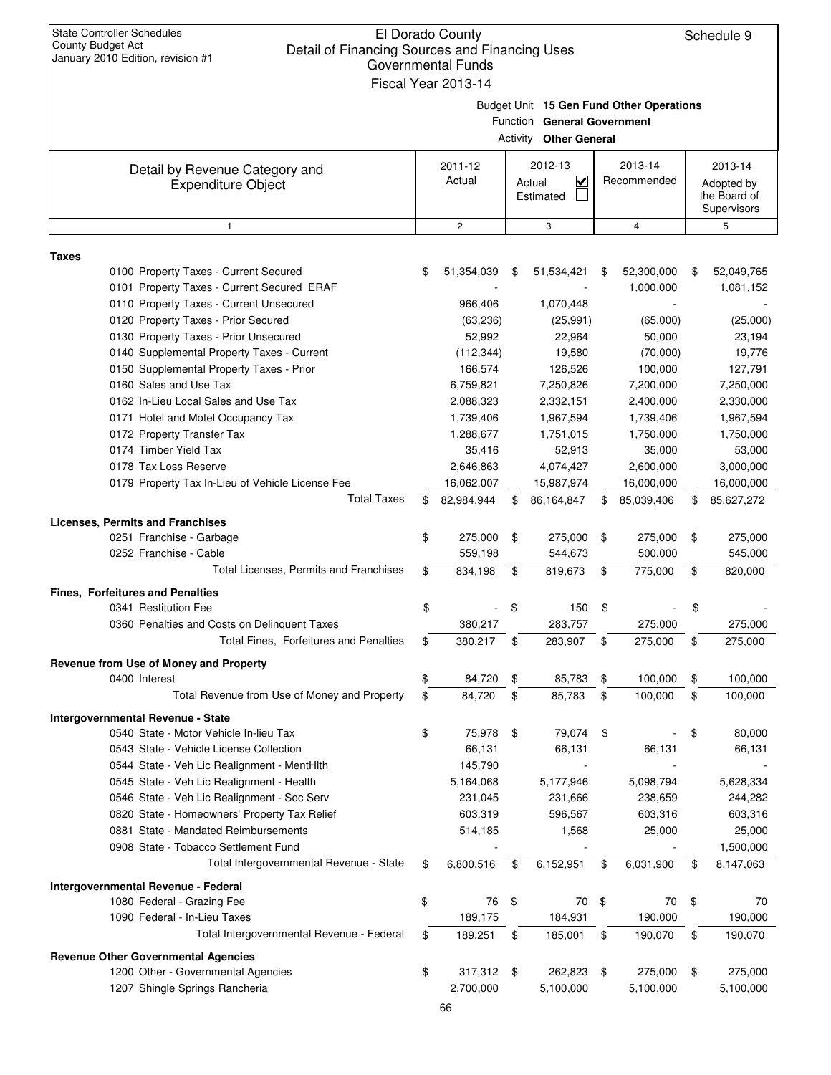| <b>State Controller Schedules</b><br><b>County Budget Act</b><br>Detail of Financing Sources and Financing Uses<br>January 2010 Edition, revision #1 | El Dorado County<br><b>Governmental Funds</b><br>Fiscal Year 2013-14 |    |                                                              |    |                                          | Schedule 9                                           |
|------------------------------------------------------------------------------------------------------------------------------------------------------|----------------------------------------------------------------------|----|--------------------------------------------------------------|----|------------------------------------------|------------------------------------------------------|
|                                                                                                                                                      |                                                                      |    | Function General Government<br><b>Activity Other General</b> |    | Budget Unit 15 Gen Fund Other Operations |                                                      |
| Detail by Revenue Category and<br><b>Expenditure Object</b>                                                                                          | 2011-12<br>Actual                                                    |    | 2012-13<br>V<br>Actual<br>Estimated                          |    | 2013-14<br>Recommended                   | 2013-14<br>Adopted by<br>the Board of<br>Supervisors |
| $\mathbf{1}$                                                                                                                                         | $\overline{c}$                                                       |    | 3                                                            |    | 4                                        | 5                                                    |
| <b>Taxes</b>                                                                                                                                         |                                                                      |    |                                                              |    |                                          |                                                      |
| 0100 Property Taxes - Current Secured<br>0101 Property Taxes - Current Secured ERAF<br>0110 Property Taxes - Current Unsecured                       | \$<br>51,354,039<br>966,406                                          | S  | 51,534,421<br>1,070,448                                      | \$ | 52,300,000<br>1,000,000                  | \$<br>52,049,765<br>1,081,152                        |
| 0120 Property Taxes - Prior Secured                                                                                                                  | (63, 236)                                                            |    | (25, 991)                                                    |    | (65,000)                                 | (25,000)                                             |
| 0130 Property Taxes - Prior Unsecured                                                                                                                | 52,992                                                               |    | 22,964                                                       |    | 50,000                                   | 23,194                                               |
| 0140 Supplemental Property Taxes - Current                                                                                                           | (112, 344)                                                           |    | 19,580                                                       |    | (70,000)                                 | 19,776                                               |
| 0150 Supplemental Property Taxes - Prior                                                                                                             | 166,574                                                              |    | 126,526                                                      |    | 100,000                                  | 127,791                                              |
| 0160 Sales and Use Tax                                                                                                                               | 6,759,821                                                            |    | 7,250,826                                                    |    | 7,200,000                                | 7,250,000                                            |
| 0162 In-Lieu Local Sales and Use Tax                                                                                                                 | 2,088,323                                                            |    | 2,332,151                                                    |    | 2,400,000                                | 2,330,000                                            |
| 0171 Hotel and Motel Occupancy Tax                                                                                                                   | 1,739,406                                                            |    | 1,967,594                                                    |    | 1,739,406                                | 1,967,594                                            |
| 0172 Property Transfer Tax<br>0174 Timber Yield Tax                                                                                                  | 1,288,677                                                            |    | 1,751,015                                                    |    | 1,750,000                                | 1,750,000                                            |
| 0178 Tax Loss Reserve                                                                                                                                | 35,416<br>2,646,863                                                  |    | 52,913<br>4,074,427                                          |    | 35,000<br>2,600,000                      | 53,000<br>3,000,000                                  |
| 0179 Property Tax In-Lieu of Vehicle License Fee                                                                                                     | 16,062,007                                                           |    | 15,987,974                                                   |    | 16,000,000                               | 16,000,000                                           |
| <b>Total Taxes</b>                                                                                                                                   | \$<br>82,984,944                                                     | S  | 86,164,847                                                   | S  | 85,039,406                               | \$<br>85,627,272                                     |
|                                                                                                                                                      |                                                                      |    |                                                              |    |                                          |                                                      |
| <b>Licenses, Permits and Franchises</b><br>0251 Franchise - Garbage                                                                                  | \$<br>275,000                                                        | \$ | 275,000                                                      | \$ | 275,000                                  | \$<br>275,000                                        |
| 0252 Franchise - Cable                                                                                                                               | 559,198                                                              |    | 544,673                                                      |    | 500,000                                  | 545,000                                              |
| Total Licenses, Permits and Franchises                                                                                                               | \$<br>834,198                                                        | \$ | 819,673                                                      | \$ | 775,000                                  | \$<br>820,000                                        |
| <b>Fines. Forfeitures and Penalties</b>                                                                                                              |                                                                      |    |                                                              |    |                                          |                                                      |
| 0341 Restitution Fee                                                                                                                                 | \$                                                                   | \$ | 150                                                          | \$ |                                          | \$                                                   |
| 0360 Penalties and Costs on Delinguent Taxes                                                                                                         | 380,217                                                              |    | 283,757                                                      |    | 275,000                                  | 275,000                                              |
| Total Fines, Forfeitures and Penalties                                                                                                               | \$<br>380,217                                                        | \$ | 283,907                                                      | \$ | 275,000                                  | \$<br>275,000                                        |
| Revenue from Use of Money and Property                                                                                                               |                                                                      |    |                                                              |    |                                          |                                                      |
| 0400 Interest                                                                                                                                        | \$<br>84,720                                                         | \$ | 85,783                                                       | \$ | 100,000                                  | \$<br>100,000                                        |
| Total Revenue from Use of Money and Property                                                                                                         | \$<br>84,720                                                         | \$ | 85,783                                                       | \$ | 100,000                                  | \$<br>100,000                                        |
| <b>Intergovernmental Revenue - State</b>                                                                                                             |                                                                      |    |                                                              |    |                                          |                                                      |
| 0540 State - Motor Vehicle In-lieu Tax                                                                                                               | \$<br>75,978                                                         | \$ | 79,074                                                       | \$ |                                          | \$<br>80,000                                         |
| 0543 State - Vehicle License Collection                                                                                                              | 66,131                                                               |    | 66,131                                                       |    | 66,131                                   | 66,131                                               |
| 0544 State - Veh Lic Realignment - MentHlth                                                                                                          | 145,790                                                              |    |                                                              |    |                                          |                                                      |
| 0545 State - Veh Lic Realignment - Health                                                                                                            | 5,164,068                                                            |    | 5,177,946                                                    |    | 5,098,794                                | 5,628,334                                            |
| 0546 State - Veh Lic Realignment - Soc Serv                                                                                                          | 231,045                                                              |    | 231,666                                                      |    | 238,659                                  | 244,282                                              |
| 0820 State - Homeowners' Property Tax Relief<br>0881 State - Mandated Reimbursements                                                                 | 603,319                                                              |    | 596,567                                                      |    | 603,316                                  | 603,316                                              |
| 0908 State - Tobacco Settlement Fund                                                                                                                 | 514,185                                                              |    | 1,568                                                        |    | 25,000                                   | 25,000<br>1,500,000                                  |
| Total Intergovernmental Revenue - State                                                                                                              | \$<br>6,800,516                                                      | \$ | 6,152,951                                                    | \$ | 6,031,900                                | \$<br>8,147,063                                      |
|                                                                                                                                                      |                                                                      |    |                                                              |    |                                          |                                                      |
| Intergovernmental Revenue - Federal<br>1080 Federal - Grazing Fee                                                                                    | \$<br>76                                                             | \$ | 70                                                           | \$ | 70                                       | \$<br>70                                             |
| 1090 Federal - In-Lieu Taxes                                                                                                                         | 189,175                                                              |    | 184,931                                                      |    | 190,000                                  | 190,000                                              |
| Total Intergovernmental Revenue - Federal                                                                                                            | \$<br>189,251                                                        | \$ | 185,001                                                      | \$ | 190,070                                  | \$<br>190,070                                        |
| <b>Revenue Other Governmental Agencies</b>                                                                                                           |                                                                      |    |                                                              |    |                                          |                                                      |
| 1200 Other - Governmental Agencies                                                                                                                   | \$<br>317,312                                                        | \$ | 262,823                                                      | \$ | 275,000                                  | \$<br>275,000                                        |
| 1207 Shingle Springs Rancheria                                                                                                                       | 2,700,000                                                            |    | 5,100,000                                                    |    | 5,100,000                                | 5,100,000                                            |
|                                                                                                                                                      | 66                                                                   |    |                                                              |    |                                          |                                                      |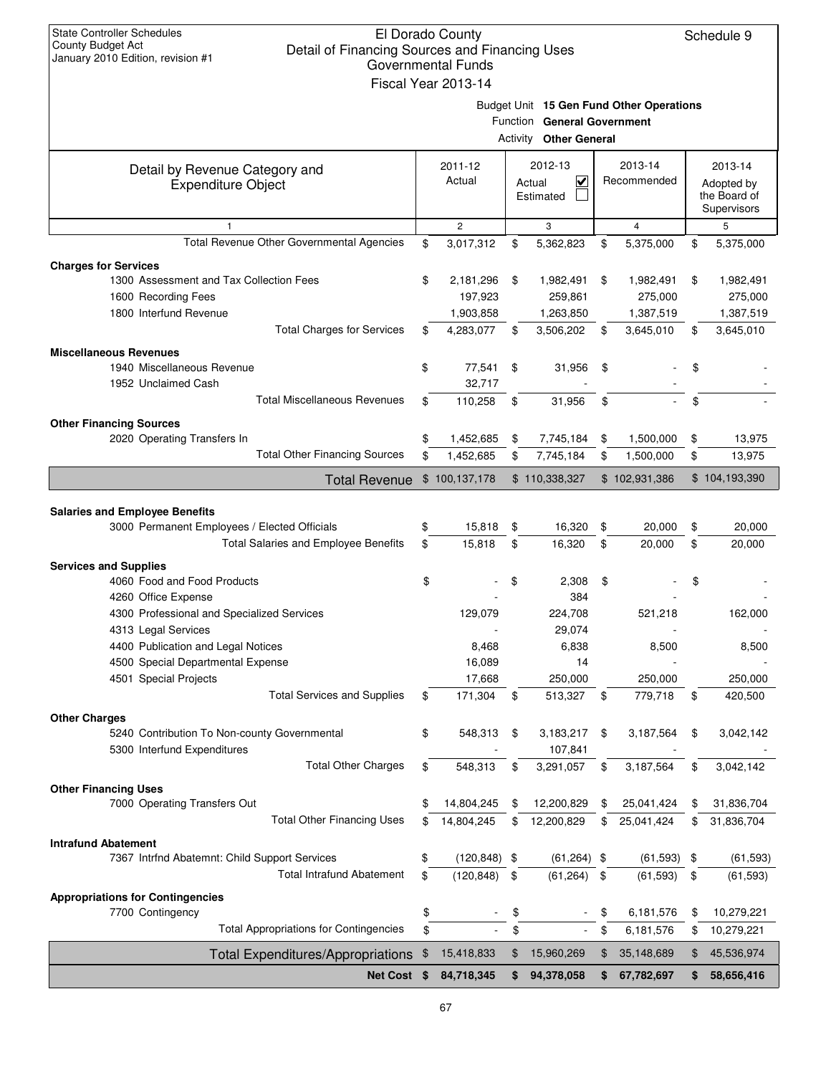| <b>State Controller Schedules</b><br><b>County Budget Act</b><br>Detail of Financing Sources and Financing Uses<br>January 2010 Edition, revision #1 |    | El Dorado County<br>Governmental Funds<br>Fiscal Year 2013-14 |    |                                                              |    |                                          |               | Schedule 9                                           |
|------------------------------------------------------------------------------------------------------------------------------------------------------|----|---------------------------------------------------------------|----|--------------------------------------------------------------|----|------------------------------------------|---------------|------------------------------------------------------|
|                                                                                                                                                      |    |                                                               |    | Function General Government<br><b>Activity Other General</b> |    | Budget Unit 15 Gen Fund Other Operations |               |                                                      |
| Detail by Revenue Category and<br><b>Expenditure Object</b>                                                                                          |    | 2011-12<br>Actual                                             |    | 2012-13<br>$\checkmark$<br>Actual<br>Estimated               |    | 2013-14<br>Recommended                   |               | 2013-14<br>Adopted by<br>the Board of<br>Supervisors |
| $\mathbf{1}$                                                                                                                                         |    | $\overline{2}$                                                |    | 3                                                            |    | $\overline{4}$                           |               | 5                                                    |
| Total Revenue Other Governmental Agencies                                                                                                            | \$ | 3,017,312                                                     | \$ | 5,362,823                                                    | \$ | 5,375,000                                | \$            | 5,375,000                                            |
| <b>Charges for Services</b>                                                                                                                          |    |                                                               |    |                                                              |    |                                          |               |                                                      |
| 1300 Assessment and Tax Collection Fees                                                                                                              | \$ | 2,181,296                                                     | \$ | 1,982,491                                                    | \$ | 1,982,491                                | \$            | 1,982,491                                            |
| 1600 Recording Fees                                                                                                                                  |    | 197,923                                                       |    | 259,861                                                      |    | 275,000                                  |               | 275,000                                              |
| 1800 Interfund Revenue                                                                                                                               |    | 1,903,858                                                     |    | 1,263,850                                                    |    | 1,387,519                                |               | 1,387,519                                            |
| <b>Total Charges for Services</b>                                                                                                                    | \$ | 4,283,077                                                     | \$ | 3,506,202                                                    | \$ | 3,645,010                                | \$            | 3,645,010                                            |
| <b>Miscellaneous Revenues</b>                                                                                                                        |    |                                                               |    |                                                              |    |                                          |               |                                                      |
| 1940 Miscellaneous Revenue                                                                                                                           | \$ | 77,541                                                        | \$ | 31,956                                                       | \$ |                                          | \$            |                                                      |
| 1952 Unclaimed Cash                                                                                                                                  |    | 32,717                                                        |    |                                                              |    |                                          |               |                                                      |
| <b>Total Miscellaneous Revenues</b>                                                                                                                  | \$ | 110,258                                                       | \$ | 31,956                                                       | \$ |                                          | \$            |                                                      |
| <b>Other Financing Sources</b>                                                                                                                       |    |                                                               |    |                                                              |    |                                          |               |                                                      |
| 2020 Operating Transfers In                                                                                                                          | \$ | 1,452,685                                                     | \$ | 7,745,184                                                    | \$ | 1,500,000                                | \$            | 13,975                                               |
| <b>Total Other Financing Sources</b>                                                                                                                 | \$ | 1,452,685                                                     | \$ | 7,745,184                                                    | \$ | 1,500,000                                | \$            | 13,975                                               |
| \$100,137,178<br><b>Total Revenue</b><br>\$110,338,327<br>\$102,931,386                                                                              |    |                                                               |    |                                                              |    |                                          | \$104,193,390 |                                                      |
|                                                                                                                                                      |    |                                                               |    |                                                              |    |                                          |               |                                                      |
| <b>Salaries and Employee Benefits</b><br>3000 Permanent Employees / Elected Officials                                                                | \$ | 15,818                                                        | \$ | 16,320                                                       | \$ | 20,000                                   | \$            | 20,000                                               |
| Total Salaries and Employee Benefits                                                                                                                 | \$ | 15,818                                                        | \$ | 16,320                                                       | \$ | 20,000                                   | \$            | 20,000                                               |
|                                                                                                                                                      |    |                                                               |    |                                                              |    |                                          |               |                                                      |
| <b>Services and Supplies</b><br>4060 Food and Food Products                                                                                          | \$ |                                                               | \$ | 2,308                                                        | \$ |                                          | \$            |                                                      |
| 4260 Office Expense                                                                                                                                  |    |                                                               |    | 384                                                          |    |                                          |               |                                                      |
| 4300 Professional and Specialized Services                                                                                                           |    | 129,079                                                       |    | 224,708                                                      |    | 521,218                                  |               | 162,000                                              |
| 4313 Legal Services                                                                                                                                  |    |                                                               |    | 29,074                                                       |    |                                          |               |                                                      |
| 4400 Publication and Legal Notices                                                                                                                   |    | 8,468                                                         |    | 6,838                                                        |    | 8,500                                    |               | 8,500                                                |
| 4500 Special Departmental Expense                                                                                                                    |    | 16,089                                                        |    | 14                                                           |    |                                          |               |                                                      |
| 4501 Special Projects                                                                                                                                |    | 17,668                                                        |    | 250,000                                                      |    | 250,000                                  |               | 250,000                                              |
| <b>Total Services and Supplies</b>                                                                                                                   | \$ | 171,304                                                       | \$ | 513,327                                                      | \$ | 779,718                                  | \$            | 420,500                                              |
| <b>Other Charges</b>                                                                                                                                 |    |                                                               |    |                                                              |    |                                          |               |                                                      |
| 5240 Contribution To Non-county Governmental                                                                                                         | \$ | 548,313                                                       | \$ | 3,183,217                                                    | \$ | 3,187,564                                | \$            | 3,042,142                                            |
| 5300 Interfund Expenditures                                                                                                                          |    |                                                               |    | 107,841                                                      |    |                                          |               |                                                      |
| <b>Total Other Charges</b>                                                                                                                           | \$ | 548,313                                                       | \$ | 3,291,057                                                    | \$ | 3,187,564                                | \$            | 3,042,142                                            |
| <b>Other Financing Uses</b>                                                                                                                          |    |                                                               |    |                                                              |    |                                          |               |                                                      |
| 7000 Operating Transfers Out                                                                                                                         | \$ | 14,804,245                                                    | \$ | 12,200,829                                                   | \$ | 25,041,424                               | \$            | 31,836,704                                           |
| <b>Total Other Financing Uses</b>                                                                                                                    | \$ | 14,804,245                                                    | \$ | 12,200,829                                                   | \$ | 25,041,424                               | \$            | 31,836,704                                           |
| <b>Intrafund Abatement</b>                                                                                                                           |    |                                                               |    |                                                              |    |                                          |               |                                                      |
| 7367 Intrfnd Abatemnt: Child Support Services                                                                                                        | \$ | (120, 848)                                                    | \$ | $(61,264)$ \$                                                |    | $(61,593)$ \$                            |               | (61, 593)                                            |
| <b>Total Intrafund Abatement</b>                                                                                                                     | \$ | (120, 848)                                                    | \$ | (61, 264)                                                    | \$ | (61, 593)                                | \$            | (61, 593)                                            |
| <b>Appropriations for Contingencies</b>                                                                                                              |    |                                                               |    |                                                              |    |                                          |               |                                                      |
| 7700 Contingency                                                                                                                                     | \$ |                                                               | \$ |                                                              | \$ | 6,181,576                                | \$            | 10,279,221                                           |
| <b>Total Appropriations for Contingencies</b>                                                                                                        | \$ |                                                               | \$ |                                                              | \$ | 6,181,576                                | \$            | 10,279,221                                           |
| <b>Total Expenditures/Appropriations</b>                                                                                                             | \$ | 15,418,833                                                    | \$ | 15,960,269                                                   | \$ | 35,148,689                               | \$            | 45,536,974                                           |
| Net Cost \$                                                                                                                                          |    | 84,718,345                                                    | \$ | 94,378,058                                                   | \$ | 67,782,697                               | S.            | 58,656,416                                           |
|                                                                                                                                                      |    |                                                               |    |                                                              |    |                                          |               |                                                      |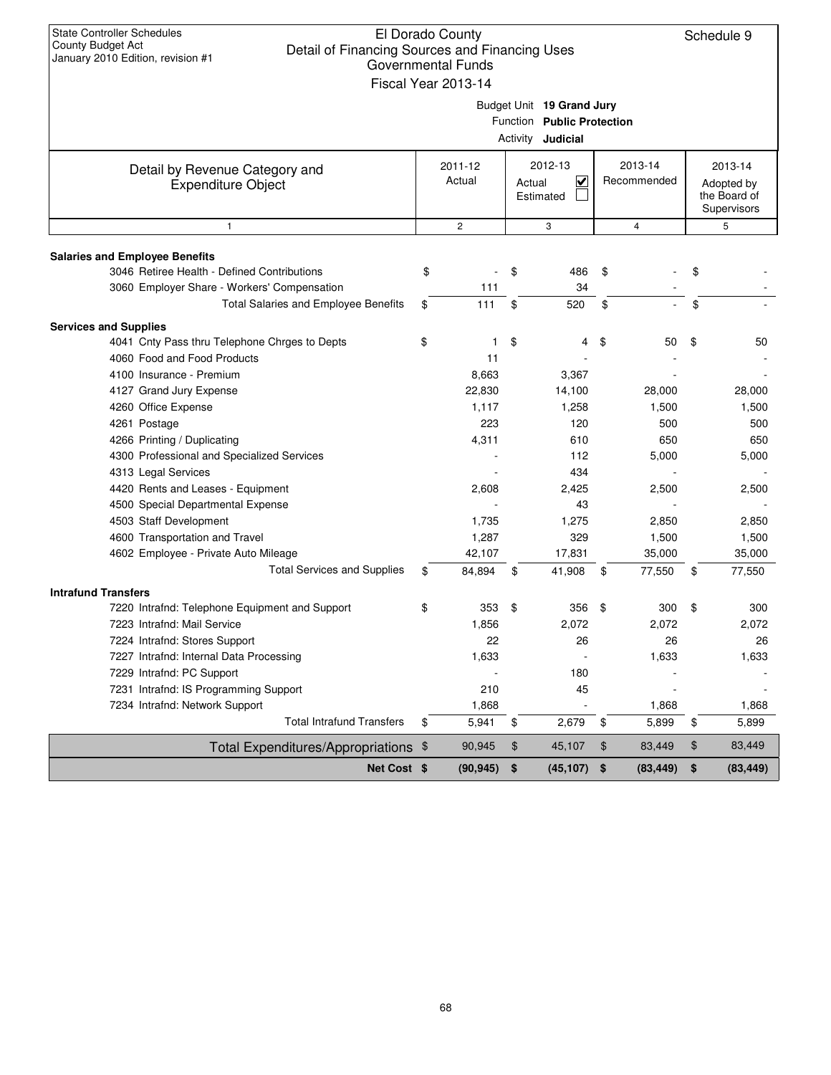| <b>State Controller Schedules</b><br>El Dorado County<br>Schedule 9<br>County Budget Act<br>Detail of Financing Sources and Financing Uses<br>January 2010 Edition, revision #1<br><b>Governmental Funds</b><br>Fiscal Year 2013-14 |    |                   |    |                                                                                     |    |                        |    |                                                      |  |
|-------------------------------------------------------------------------------------------------------------------------------------------------------------------------------------------------------------------------------------|----|-------------------|----|-------------------------------------------------------------------------------------|----|------------------------|----|------------------------------------------------------|--|
|                                                                                                                                                                                                                                     |    |                   |    | Budget Unit 19 Grand Jury<br>Function Public Protection<br>Activity <b>Judicial</b> |    |                        |    |                                                      |  |
| Detail by Revenue Category and<br><b>Expenditure Object</b>                                                                                                                                                                         |    | 2011-12<br>Actual |    | 2012-13<br>$\overline{\mathsf{v}}$<br>Actual<br>Estimated                           |    | 2013-14<br>Recommended |    | 2013-14<br>Adopted by<br>the Board of<br>Supervisors |  |
| $\mathbf{1}$                                                                                                                                                                                                                        |    | $\overline{c}$    |    | 3                                                                                   |    | $\overline{4}$         |    | 5                                                    |  |
|                                                                                                                                                                                                                                     |    |                   |    |                                                                                     |    |                        |    |                                                      |  |
| <b>Salaries and Employee Benefits</b><br>3046 Retiree Health - Defined Contributions                                                                                                                                                | \$ |                   | \$ | 486                                                                                 | \$ |                        | \$ |                                                      |  |
| 3060 Employer Share - Workers' Compensation                                                                                                                                                                                         |    | 111               |    | 34                                                                                  |    |                        |    |                                                      |  |
| Total Salaries and Employee Benefits                                                                                                                                                                                                | \$ | 111               | \$ | 520                                                                                 | \$ |                        | \$ |                                                      |  |
|                                                                                                                                                                                                                                     |    |                   |    |                                                                                     |    |                        |    |                                                      |  |
| <b>Services and Supplies</b><br>4041 Cnty Pass thru Telephone Chrges to Depts                                                                                                                                                       |    | 1                 | \$ |                                                                                     |    |                        |    |                                                      |  |
| 4060 Food and Food Products                                                                                                                                                                                                         | \$ | 11                |    | 4                                                                                   | \$ | 50                     | \$ | 50                                                   |  |
| 4100 Insurance - Premium                                                                                                                                                                                                            |    | 8,663             |    | 3,367                                                                               |    |                        |    |                                                      |  |
| 4127 Grand Jury Expense                                                                                                                                                                                                             |    | 22,830            |    | 14,100                                                                              |    | 28,000                 |    | 28,000                                               |  |
| 4260 Office Expense                                                                                                                                                                                                                 |    | 1,117             |    | 1,258                                                                               |    | 1,500                  |    | 1,500                                                |  |
| 4261 Postage                                                                                                                                                                                                                        |    | 223               |    | 120                                                                                 |    | 500                    |    | 500                                                  |  |
| 4266 Printing / Duplicating                                                                                                                                                                                                         |    | 4,311             |    | 610                                                                                 |    | 650                    |    | 650                                                  |  |
| 4300 Professional and Specialized Services                                                                                                                                                                                          |    |                   |    | 112                                                                                 |    | 5,000                  |    | 5,000                                                |  |
| 4313 Legal Services                                                                                                                                                                                                                 |    |                   |    | 434                                                                                 |    |                        |    |                                                      |  |
| 4420 Rents and Leases - Equipment                                                                                                                                                                                                   |    | 2,608             |    | 2,425                                                                               |    | 2,500                  |    | 2,500                                                |  |
| 4500 Special Departmental Expense                                                                                                                                                                                                   |    |                   |    | 43                                                                                  |    |                        |    |                                                      |  |
| 4503 Staff Development                                                                                                                                                                                                              |    | 1,735             |    | 1,275                                                                               |    | 2,850                  |    | 2,850                                                |  |
| 4600 Transportation and Travel                                                                                                                                                                                                      |    | 1,287             |    | 329                                                                                 |    | 1,500                  |    | 1,500                                                |  |
| 4602 Employee - Private Auto Mileage                                                                                                                                                                                                |    | 42,107            |    | 17,831                                                                              |    | 35,000                 |    | 35,000                                               |  |
| <b>Total Services and Supplies</b>                                                                                                                                                                                                  | \$ | 84,894            | \$ | 41,908                                                                              | \$ | 77,550                 | \$ | 77,550                                               |  |
|                                                                                                                                                                                                                                     |    |                   |    |                                                                                     |    |                        |    |                                                      |  |
| <b>Intrafund Transfers</b><br>7220 Intrafnd: Telephone Equipment and Support                                                                                                                                                        | \$ | 353               | \$ | 356                                                                                 | \$ | 300                    | \$ | 300                                                  |  |
| 7223 Intrafnd: Mail Service                                                                                                                                                                                                         |    | 1,856             |    | 2,072                                                                               |    | 2,072                  |    | 2,072                                                |  |
| 7224 Intrafnd: Stores Support                                                                                                                                                                                                       |    | 22                |    | 26                                                                                  |    | 26                     |    | 26                                                   |  |
| 7227 Intrafnd: Internal Data Processing                                                                                                                                                                                             |    | 1,633             |    |                                                                                     |    | 1,633                  |    | 1,633                                                |  |
| 7229 Intrafnd: PC Support                                                                                                                                                                                                           |    |                   |    | 180                                                                                 |    |                        |    |                                                      |  |
| 7231 Intrafnd: IS Programming Support                                                                                                                                                                                               |    | 210               |    | 45                                                                                  |    |                        |    |                                                      |  |
| 7234 Intrafnd: Network Support                                                                                                                                                                                                      |    | 1,868             |    |                                                                                     |    | 1,868                  |    | 1,868                                                |  |
| <b>Total Intrafund Transfers</b>                                                                                                                                                                                                    | \$ | 5,941             | \$ | 2,679                                                                               | \$ | 5,899                  | \$ | 5,899                                                |  |
| Total Expenditures/Appropriations \$                                                                                                                                                                                                |    | 90,945            | \$ | 45,107                                                                              | \$ | 83,449                 | \$ | 83,449                                               |  |
| Net Cost \$                                                                                                                                                                                                                         |    | (90, 945)         | \$ | (45, 107)                                                                           | \$ | (83, 449)              | \$ | (83, 449)                                            |  |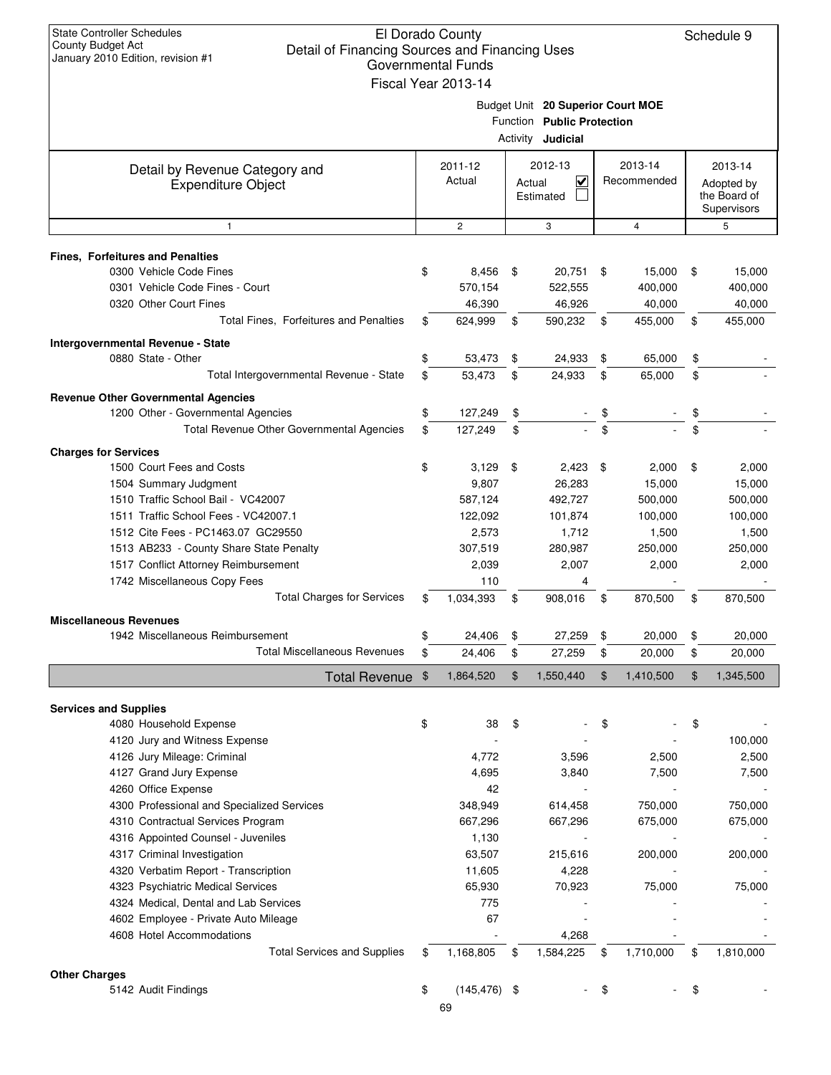| <b>State Controller Schedules</b><br>El Dorado County<br>Schedule 9<br><b>County Budget Act</b><br>Detail of Financing Sources and Financing Uses<br>January 2010 Edition, revision #1<br><b>Governmental Funds</b><br>Fiscal Year 2013-14 |    |                       |    |                                                                                             |    |                |    |                                           |  |  |
|--------------------------------------------------------------------------------------------------------------------------------------------------------------------------------------------------------------------------------------------|----|-----------------------|----|---------------------------------------------------------------------------------------------|----|----------------|----|-------------------------------------------|--|--|
|                                                                                                                                                                                                                                            |    |                       |    | Budget Unit 20 Superior Court MOE<br>Function Public Protection<br>Activity <b>Judicial</b> |    |                |    |                                           |  |  |
|                                                                                                                                                                                                                                            |    | 2011-12               |    | 2012-13                                                                                     |    | 2013-14        |    | 2013-14                                   |  |  |
| Detail by Revenue Category and<br><b>Expenditure Object</b>                                                                                                                                                                                |    | Actual                |    | ₹<br>Actual<br>Estimated                                                                    |    | Recommended    |    | Adopted by<br>the Board of<br>Supervisors |  |  |
| $\mathbf{1}$                                                                                                                                                                                                                               |    | $\overline{c}$        |    | 3                                                                                           |    | $\overline{4}$ |    | 5                                         |  |  |
| <b>Fines, Forfeitures and Penalties</b>                                                                                                                                                                                                    |    |                       |    |                                                                                             |    |                |    |                                           |  |  |
| 0300 Vehicle Code Fines                                                                                                                                                                                                                    | \$ | 8,456                 | \$ | 20,751                                                                                      | \$ | 15,000         | \$ | 15,000                                    |  |  |
| 0301 Vehicle Code Fines - Court                                                                                                                                                                                                            |    | 570,154               |    | 522,555                                                                                     |    | 400,000        |    | 400,000                                   |  |  |
| 0320 Other Court Fines                                                                                                                                                                                                                     |    | 46,390                |    | 46,926                                                                                      |    | 40,000         |    | 40,000                                    |  |  |
| Total Fines, Forfeitures and Penalties                                                                                                                                                                                                     | \$ | 624,999               | \$ | 590,232                                                                                     | \$ | 455,000        | \$ | 455,000                                   |  |  |
| Intergovernmental Revenue - State                                                                                                                                                                                                          |    |                       |    |                                                                                             |    |                |    |                                           |  |  |
| 0880 State - Other                                                                                                                                                                                                                         | \$ | 53,473                | \$ | 24,933                                                                                      | \$ | 65,000         | \$ |                                           |  |  |
| Total Intergovernmental Revenue - State                                                                                                                                                                                                    | \$ | 53,473                | \$ | 24,933                                                                                      | \$ | 65,000         | \$ |                                           |  |  |
|                                                                                                                                                                                                                                            |    |                       |    |                                                                                             |    |                |    |                                           |  |  |
| <b>Revenue Other Governmental Agencies</b><br>1200 Other - Governmental Agencies                                                                                                                                                           | \$ | 127,249               | \$ |                                                                                             |    |                |    |                                           |  |  |
| Total Revenue Other Governmental Agencies                                                                                                                                                                                                  | \$ | 127,249               | \$ |                                                                                             | \$ |                | \$ |                                           |  |  |
|                                                                                                                                                                                                                                            |    |                       |    |                                                                                             |    |                |    |                                           |  |  |
| <b>Charges for Services</b>                                                                                                                                                                                                                |    |                       |    |                                                                                             |    |                |    |                                           |  |  |
| 1500 Court Fees and Costs                                                                                                                                                                                                                  | \$ | 3,129                 | \$ | 2,423                                                                                       | \$ | 2,000          | \$ | 2,000                                     |  |  |
| 1504 Summary Judgment                                                                                                                                                                                                                      |    | 9,807                 |    | 26,283                                                                                      |    | 15,000         |    | 15,000                                    |  |  |
| 1510 Traffic School Bail - VC42007                                                                                                                                                                                                         |    | 587,124               |    | 492,727                                                                                     |    | 500,000        |    | 500,000                                   |  |  |
| 1511 Traffic School Fees - VC42007.1                                                                                                                                                                                                       |    | 122,092               |    | 101,874                                                                                     |    | 100,000        |    | 100,000                                   |  |  |
| 1512 Cite Fees - PC1463.07 GC29550                                                                                                                                                                                                         |    | 2,573                 |    | 1,712                                                                                       |    | 1,500          |    | 1,500                                     |  |  |
| 1513 AB233 - County Share State Penalty                                                                                                                                                                                                    |    | 307,519               |    | 280,987                                                                                     |    | 250,000        |    | 250,000                                   |  |  |
| 1517 Conflict Attorney Reimbursement                                                                                                                                                                                                       |    | 2,039                 |    | 2,007                                                                                       |    | 2,000          |    | 2,000                                     |  |  |
| 1742 Miscellaneous Copy Fees                                                                                                                                                                                                               |    | 110                   |    | 4                                                                                           |    |                |    |                                           |  |  |
| <b>Total Charges for Services</b>                                                                                                                                                                                                          | \$ | 1,034,393             | \$ | 908,016                                                                                     | \$ | 870,500        | \$ | 870,500                                   |  |  |
| <b>Miscellaneous Revenues</b>                                                                                                                                                                                                              |    |                       |    |                                                                                             |    |                |    |                                           |  |  |
| 1942 Miscellaneous Reimbursement                                                                                                                                                                                                           |    | 24,406                | \$ | 27,259                                                                                      | \$ | 20,000         | \$ | 20,000                                    |  |  |
| <b>Total Miscellaneous Revenues</b>                                                                                                                                                                                                        | \$ | 24,406                | \$ | 27,259                                                                                      | \$ | 20,000         | \$ | 20,000                                    |  |  |
| Total Revenue \$                                                                                                                                                                                                                           |    | 1,864,520             | \$ | 1,550,440                                                                                   | \$ | 1,410,500      | \$ | 1,345,500                                 |  |  |
|                                                                                                                                                                                                                                            |    |                       |    |                                                                                             |    |                |    |                                           |  |  |
| <b>Services and Supplies</b><br>4080 Household Expense                                                                                                                                                                                     | \$ | 38                    | \$ |                                                                                             | \$ |                | \$ |                                           |  |  |
| 4120 Jury and Witness Expense                                                                                                                                                                                                              |    |                       |    |                                                                                             |    |                |    | 100,000                                   |  |  |
| 4126 Jury Mileage: Criminal                                                                                                                                                                                                                |    | 4,772                 |    | 3,596                                                                                       |    | 2,500          |    | 2,500                                     |  |  |
| 4127 Grand Jury Expense                                                                                                                                                                                                                    |    | 4,695                 |    | 3,840                                                                                       |    | 7,500          |    | 7,500                                     |  |  |
| 4260 Office Expense                                                                                                                                                                                                                        |    | 42                    |    |                                                                                             |    |                |    |                                           |  |  |
| 4300 Professional and Specialized Services                                                                                                                                                                                                 |    | 348,949               |    | 614,458                                                                                     |    | 750,000        |    | 750,000                                   |  |  |
| 4310 Contractual Services Program                                                                                                                                                                                                          |    | 667,296               |    | 667,296                                                                                     |    | 675,000        |    | 675,000                                   |  |  |
| 4316 Appointed Counsel - Juveniles                                                                                                                                                                                                         |    | 1,130                 |    |                                                                                             |    |                |    |                                           |  |  |
| 4317 Criminal Investigation                                                                                                                                                                                                                |    | 63,507                |    | 215,616                                                                                     |    | 200,000        |    | 200,000                                   |  |  |
| 4320 Verbatim Report - Transcription                                                                                                                                                                                                       |    | 11,605                |    | 4,228                                                                                       |    |                |    |                                           |  |  |
| 4323 Psychiatric Medical Services                                                                                                                                                                                                          |    | 65,930                |    | 70,923                                                                                      |    | 75,000         |    | 75,000                                    |  |  |
| 4324 Medical, Dental and Lab Services                                                                                                                                                                                                      |    | 775                   |    |                                                                                             |    |                |    |                                           |  |  |
| 4602 Employee - Private Auto Mileage                                                                                                                                                                                                       |    | 67                    |    |                                                                                             |    |                |    |                                           |  |  |
| 4608 Hotel Accommodations                                                                                                                                                                                                                  |    |                       |    | 4,268                                                                                       |    |                |    |                                           |  |  |
| <b>Total Services and Supplies</b>                                                                                                                                                                                                         | \$ | 1,168,805             | \$ | 1,584,225                                                                                   | \$ | 1,710,000      | \$ | 1,810,000                                 |  |  |
|                                                                                                                                                                                                                                            |    |                       |    |                                                                                             |    |                |    |                                           |  |  |
| <b>Other Charges</b><br>5142 Audit Findings                                                                                                                                                                                                | \$ | $(145, 476)$ \$<br>69 |    |                                                                                             | \$ |                | \$ |                                           |  |  |